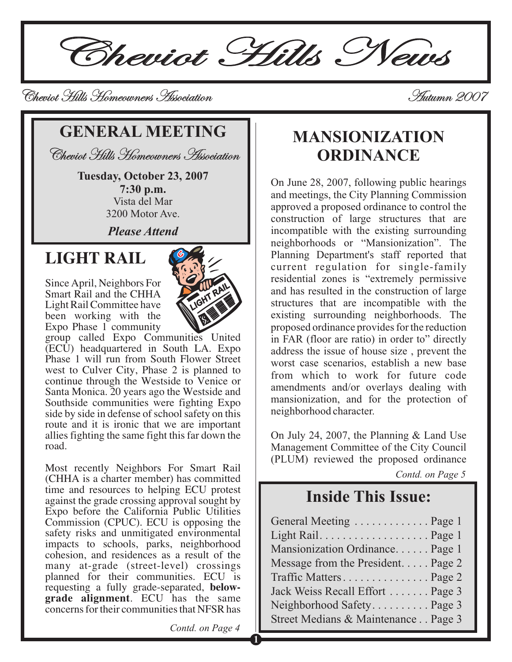Cheviot Hills News

Cheviot Hills Homeowners Association Cheviot Hills Homeowners Autumn 2007 Autumn

## **GENERAL MEETING**

Cheviot Hills Homeowners Association Cheviot Hills Homeowners

**Tuesday, October 23, 2007 7:30 p.m.** Vista del Mar 3200 Motor Ave.

*Please Attend*

# **LIGHT RAIL**

Since April, Neighbors For Smart Rail and the CHHA Light Rail Committee have been working with the Expo Phase 1 community



group called Expo Communities United  $(EC\hat{U})$  headquartered in South LA. Expo Phase 1 will run from South Flower Street west to Culver City, Phase 2 is planned to continue through the Westside to Venice or Santa Monica. 20 years ago the Westside and Southside communities were fighting Expo side by side in defense of school safety on this route and it is ironic that we are important allies fighting the same fight this far down the road.

Most recently Neighbors For Smart Rail (CHHA is a charter member) has committed time and resources to helping ECU protest against the grade crossing approval sought by Expo before the California Public Utilities Commission (CPUC). ECU is opposing the safety risks and unmitigated environmental impacts to schools, parks, neighborhood cohesion, and residences as a result of the many at-grade (street-level) crossings planned for their communities. ECU is requesting a fully grade-separated, **below-**. ECU has the same **grade alignment** concerns for their communities that NFSR has

# **MANSIONIZATION ORDINANCE**

On June 28, 2007, following public hearings and meetings, the City Planning Commission approved a proposed ordinance to control the construction of large structures that are incompatible with the existing surrounding neighborhoods or "Mansionization". The Planning Department's staff reported that current regulation for single-family residential zones is "extremely permissive and has resulted in the construction of large structures that are incompatible with the existing surrounding neighborhoods. The proposed ordinance provides for the reduction in FAR (floor are ratio) in order to" directly address the issue of house size , prevent the worst case scenarios, establish a new base from which to work for future code amendments and/or overlays dealing with mansionization, and for the protection of neighborhood character.

On July 24, 2007, the Planning & Land Use Management Committee of the City Council (PLUM) reviewed the proposed ordinance

*Contd. on Page 5*

## **Inside This Issue:**

| General Meeting  Page 1             |  |
|-------------------------------------|--|
|                                     |  |
| Mansionization Ordinance Page 1     |  |
| Message from the President. Page 2  |  |
| Traffic MattersPage 2               |  |
| Jack Weiss Recall Effort  Page 3    |  |
| Neighborhood Safety Page 3          |  |
| Street Medians & Maintenance Page 3 |  |

Contd. on Page 4

**1**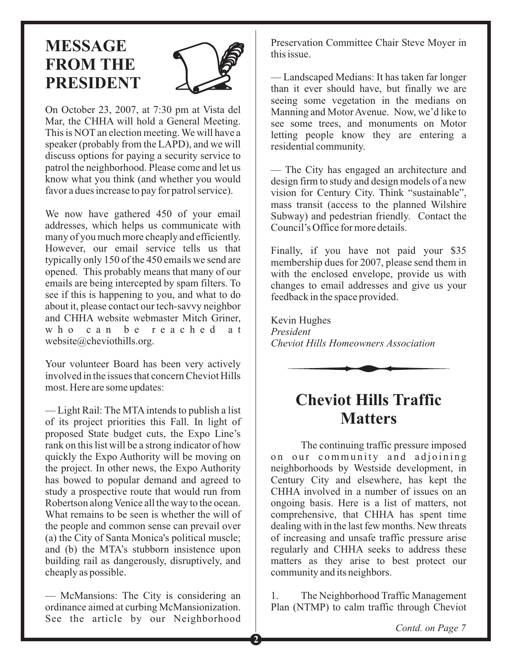# **MESSAGE FROM THE PRESIDENT**



On October 23, 2007, at 7:30 pm at Vista del Mar, the CHHA will hold a General Meeting. This is NOT an election meeting. We will have a speaker (probably from the LAPD), and we will discuss options for paying a security service to patrol the neighborhood. Please come and let us know what you think (and whether you would favor a dues increase to pay for patrol service).

We now have gathered 450 of your email addresses, which helps us communicate with many of you much more cheaply and efficiently. However, our email service tells us that typically only 150 of the 450 emails we send are opened. This probably means that many of our emails are being intercepted by spam filters. To see if this is happening to you, and what to do about it, please contact our tech-savvy neighbor and CHHA website webmaster Mitch Griner, who can be reached at website@cheviothills.org.

Your volunteer Board has been very actively involved in the issues that concern Cheviot Hills most. Here are some updates:

— Light Rail: The MTA intends to publish a list of its project priorities this Fall. In light of proposed State budget cuts, the Expo Line's rank on this list will be a strong indicator of how quickly the Expo Authority will be moving on the project. In other news, the Expo Authority has bowed to popular demand and agreed to study a prospective route that would run from Robertson along Venice all the way to the ocean. What remains to be seen is whether the will of the people and common sense can prevail over (a) the City of Santa Monica's political muscle; and (b) the MTA's stubborn insistence upon building rail as dangerously, disruptively, and cheaply as possible.

— McMansions: The City is considering an ordinance aimed at curbing McMansionization. See the article by our Neighborhood Preservation Committee Chair Steve Moyer in this issue.

— Landscaped Medians: It has taken far longer than it ever should have, but finally we are seeing some vegetation in the medians on Manning and Motor Avenue. Now, we'd like to see some trees, and monuments on Motor letting people know they are entering a residential community.

— The City has engaged an architecture and design firm to study and design models of a new vision for Century City. Think "sustainable", mass transit (access to the planned Wilshire Subway) and pedestrian friendly. Contact the Council's Office for more details.

Finally, if you have not paid your \$35 membership dues for 2007, please send them in with the enclosed envelope, provide us with changes to email addresses and give us your feedback in the space provided.

Kevin Hughes *President Cheviot Hills Homeowners Association*



## **Cheviot Hills Traffic Matters**

The continuing traffic pressure imposed on our community and adjoining neighborhoods by Westside development, in Century City and elsewhere, has kept the CHHA involved in a number of issues on an ongoing basis. Here is a list of matters, not comprehensive, that CHHA has spent time dealing with in the last few months. New threats of increasing and unsafe traffic pressure arise regularly and CHHA seeks to address these matters as they arise to best protect our community and its neighbors.

1. The Neighborhood Traffic Management Plan (NTMP) to calm traffic through Cheviot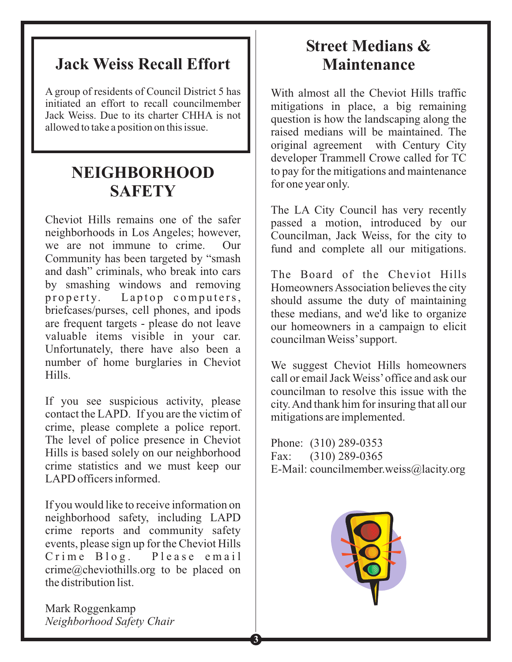## **Jack Weiss Recall Effort**

A group of residents of Council District 5 has initiated an effort to recall councilmember Jack Weiss. Due to its charter CHHA is not allowed to take a position on this issue.

## **NEIGHBORHOOD SAFETY**

Cheviot Hills remains one of the safer neighborhoods in Los Angeles; however, we are not immune to crime. Our Community has been targeted by "smash and dash" criminals, who break into cars by smashing windows and removing property. Laptop computers, briefcases/purses, cell phones, and ipods are frequent targets - please do not leave valuable items visible in your car. Unfortunately, there have also been a number of home burglaries in Cheviot Hills.

If you see suspicious activity, please contact the LAPD. If you are the victim of crime, please complete a police report. The level of police presence in Cheviot Hills is based solely on our neighborhood crime statistics and we must keep our LAPD officers informed.

If you would like to receive information on neighborhood safety, including LAPD crime reports and community safety events, please sign up for the Cheviot Hills Crime Blog. Please email crime@cheviothills.org to be placed on the distribution list.

# **Street Medians & Maintenance**

With almost all the Cheviot Hills traffic mitigations in place, a big remaining question is how the landscaping along the raised medians will be maintained. The original agreement with Century City developer Trammell Crowe called for TC to pay for the mitigations and maintenance for one year only.

The LA City Council has very recently passed a motion, introduced by our Councilman, Jack Weiss, for the city to fund and complete all our mitigations.

The Board of the Cheviot Hills HomeownersAssociation believes the city should assume the duty of maintaining these medians, and we'd like to organize our homeowners in a campaign to elicit councilman Weiss'support.

We suggest Cheviot Hills homeowners call or email Jack Weiss'office and ask our councilman to resolve this issue with the city.And thank him for insuring that all our mitigations are implemented.

Phone: (310) 289-0353 Fax: (310) 289-0365 E-Mail: councilmember.weiss@lacity.org



Mark Roggenkamp *Neighborhood Safety Chair*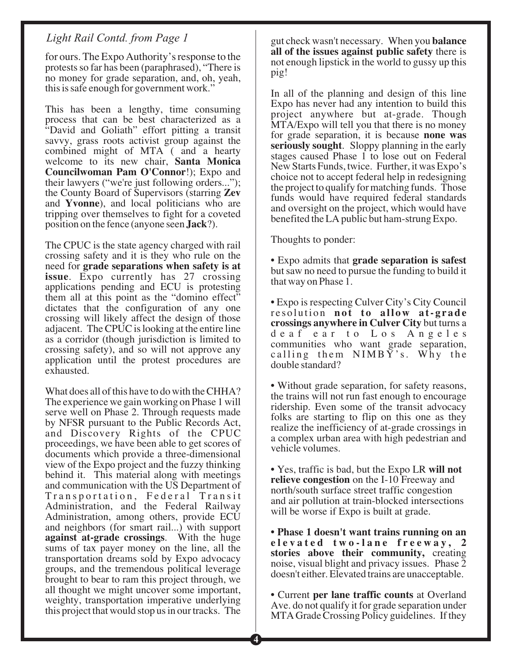#### *Light Rail Contd. from Page 1*

for ours. The Expo Authority's response to the protests so far has been (paraphrased), "There is no money for grade separation, and, oh, yeah, this is safe enough for government work."

This has been a lengthy, time consuming process that can be best characterized as a "David and Goliath" effort pitting a transit savvy, grass roots activist group against the combined might of MTA ( and a hearty welcome to its new chair, **Santa Monica** Councilwoman Pam O'Connor!); Expo and their lawyers ("we're just following orders..."); the County Board of Supervisors (starring **Zev** and Yvonne), and local politicians who are tripping over themselves to fight for a coveted position on the fence (anyone seen **Jack**?).

The CPUC is the state agency charged with rail crossing safety and it is they who rule on the need for **grade separations when safety is at** issue. Expo currently has 27 crossing applications pending and ECU is protesting them all at this point as the "domino effect" dictates that the configuration of any one crossing will likely affect the design of those adjacent. The CPUC is looking at the entire line as a corridor (though jurisdiction is limited to crossing safety), and so will not approve any application until the protest procedures are exhausted.

What does all of this have to do with the CHHA? The experience we gain working on Phase 1 will serve well on Phase 2. Through requests made by NFSR pursuant to the Public Records Act, and Discovery Rights of the CPUC proceedings, we have been able to get scores of documents which provide a three-dimensional view of the Expo project and the fuzzy thinking behind it. This material along with meetings and communication with the US Department of Transportation, Federal Transit Administration, and the Federal Railway Administration, among others, provide ECU and neighbors (for smart rail...) with support . With the huge **against at-grade crossings** sums of tax payer money on the line, all the transportation dreams sold by Expo advocacy groups, and the tremendous political leverage brought to bear to ram this project through, we all thought we might uncover some important, weighty, transportation imperative underlying this project that would stop us in our tracks. The

gut check wasn't necessary. When you **balance** all of the issues against public safety there is not enough lipstick in the world to gussy up this pig!

In all of the planning and design of this line Expo has never had any intention to build this project anywhere but at-grade. Though MTA/Expo will tell you that there is no money for grade separation, it is because **none was** seriously sought. Sloppy planning in the early stages caused Phase 1 to lose out on Federal New Starts Funds, twice. Further, it was Expo's choice not to accept federal help in redesigning the project to qualify for matching funds. Those funds would have required federal standards and oversight on the project, which would have benefited the LA public but ham-strung Expo.

Thoughts to ponder:

• Expo admits that **grade separation is safest** but saw no need to pursue the funding to build it that way on Phase 1.

• Expo is respecting Culver City's City Council resolution **not to allow at-grade** crossings anywhere in Culver City but turns a deaf ear to Los Angeles communities who want grade separation, calling them NIMBY's. Why the double standard?

• Without grade separation, for safety reasons, the trains will not run fast enough to encourage ridership. Even some of the transit advocacy folks are starting to flip on this one as they realize the inefficiency of at-grade crossings in a complex urban area with high pedestrian and vehicle volumes.

• Yes, traffic is bad, but the Expo LR **will not** relieve congestion on the I-10 Freeway and north/south surface street traffic congestion and air pollution at train-blocked intersections will be worse if Expo is built at grade.

stories above their community, creating noise, visual blight and privacy issues. Phase 2 doesn't either. Elevated trains are unacceptable. **• Phase 1 doesn't want trains running on an elevated two-lane freeway, 2**

• Current per lane traffic counts at Overland Ave. do not qualify it for grade separation under MTA Grade Crossing Policy guidelines. If they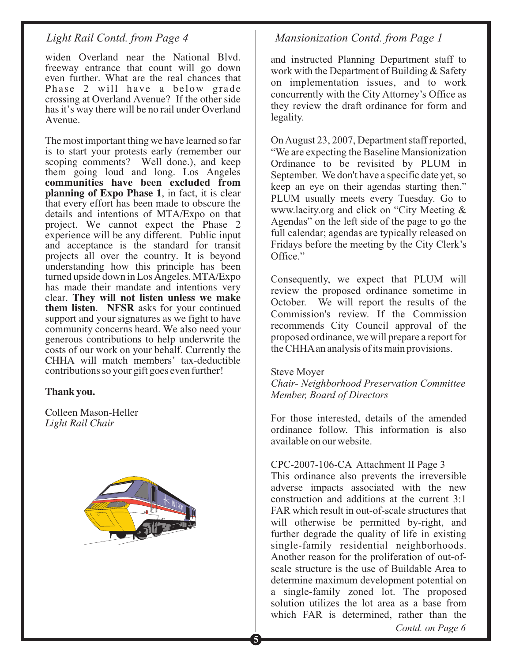widen Overland near the National Blvd. freeway entrance that count will go down even further. What are the real chances that Phase 2 will have a below grade crossing at Overland Avenue? If the other side has it's way there will be no rail under Overland Avenue.

The most important thing we have learned so far is to start your protests early (remember our scoping comments? Well done.), and keep them going loud and long. Los Angeles planning of Expo Phase 1, in fact, it is clear that every effort has been made to obscure the details and intentions of MTA/Expo on that project. We cannot expect the Phase 2 experience will be any different. Public input and acceptance is the standard for transit projects all over the country. It is beyond understanding how this principle has been turned upside down in Los Angeles. MTA/Expo has made their mandate and intentions very clear. **They will not listen unless we make** them listen. NFSR asks for your continued support and your signatures as we fight to have community concerns heard. We also need your generous contributions to help underwrite the costs of our work on your behalf. Currently the CHHA will match members' tax-deductible contributions so your gift goes even further! **communities have been excluded from**

#### **Thank you.**

Colleen Mason-Heller *Light Rail Chair*



#### *Light Rail Contd. from Page 4 Mansionization Contd. from Page 1*

and instructed Planning Department staff to work with the Department of Building & Safety on implementation issues, and to work concurrently with the City Attorney's Office as they review the draft ordinance for form and legality.

On August 23, 2007, Department staff reported, "We are expecting the Baseline Mansionization Ordinance to be revisited by PLUM in September. We don't have a specific date yet, so keep an eye on their agendas starting then." PLUM usually meets every Tuesday. Go to www.lacity.org and click on "City Meeting & Agendas" on the left side of the page to go the full calendar; agendas are typically released on Fridays before the meeting by the City Clerk's Office."

Consequently, we expect that PLUM will review the proposed ordinance sometime in October. We will report the results of the Commission's review. If the Commission recommends City Council approval of the proposed ordinance, we will prepare a report for the CHHAan analysis of its main provisions.

#### Steve Moyer

*Chair- Neighborhood Preservation Committee Member, Board of Directors*

For those interested, details of the amended ordinance follow. This information is also available on our website.

#### CPC-2007-106-CA Attachment II Page 3

This ordinance also prevents the irreversible adverse impacts associated with the new construction and additions at the current 3:1 FAR which result in out-of-scale structures that will otherwise be permitted by-right, and further degrade the quality of life in existing single-family residential neighborhoods. Another reason for the proliferation of out-ofscale structure is the use of Buildable Area to determine maximum development potential on a single-family zoned lot. The proposed solution utilizes the lot area as a base from which FAR is determined, rather than the

*Contd. on Page 6*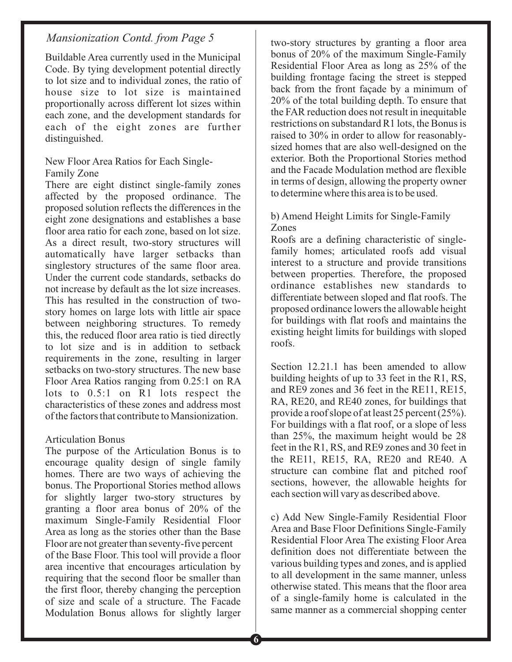## *Mansionization Contd. from Page 5* two-story structures by granting a floor area

Buildable Area currently used in the Municipal Code. By tying development potential directly to lot size and to individual zones, the ratio of house size to lot size is maintained proportionally across different lot sizes within each zone, and the development standards for each of the eight zones are further distinguished.

#### New Floor Area Ratios for Each Single-Family Zone

There are eight distinct single-family zones affected by the proposed ordinance. The proposed solution reflects the differences in the eight zone designations and establishes a base floor area ratio for each zone, based on lot size. As a direct result, two-story structures will automatically have larger setbacks than singlestory structures of the same floor area. Under the current code standards, setbacks do not increase by default as the lot size increases. This has resulted in the construction of twostory homes on large lots with little air space between neighboring structures. To remedy this, the reduced floor area ratio is tied directly to lot size and is in addition to setback requirements in the zone, resulting in larger setbacks on two-story structures. The new base Floor Area Ratios ranging from 0.25:1 on RA lots to 0.5:1 on R1 lots respect the characteristics of these zones and address most of the factors that contribute to Mansionization.

#### Articulation Bonus

The purpose of the Articulation Bonus is to encourage quality design of single family homes. There are two ways of achieving the bonus. The Proportional Stories method allows for slightly larger two-story structures by granting a floor area bonus of 20% of the maximum Single-Family Residential Floor Area as long as the stories other than the Base Floor are not greater than seventy-five percent of the Base Floor. This tool will provide a floor area incentive that encourages articulation by requiring that the second floor be smaller than the first floor, thereby changing the perception of size and scale of a structure. The Facade Modulation Bonus allows for slightly larger

bonus of 20% of the maximum Single-Family Residential Floor Area as long as 25% of the building frontage facing the street is stepped back from the front façade by a minimum of 20% of the total building depth. To ensure that the FAR reduction does not result in inequitable restrictions on substandard R1 lots, the Bonus is raised to 30% in order to allow for reasonablysized homes that are also well-designed on the exterior. Both the Proportional Stories method and the Facade Modulation method are flexible in terms of design, allowing the property owner to determine where this area is to be used.

#### b) Amend Height Limits for Single-Family Zones

Roofs are a defining characteristic of singlefamily homes; articulated roofs add visual interest to a structure and provide transitions between properties. Therefore, the proposed ordinance establishes new standards to differentiate between sloped and flat roofs. The proposed ordinance lowers the allowable height for buildings with flat roofs and maintains the existing height limits for buildings with sloped roofs.

Section 12.21.1 has been amended to allow building heights of up to 33 feet in the R1, RS, and RE9 zones and 36 feet in the RE11, RE15, RA, RE20, and RE40 zones, for buildings that provide a roof slope of at least 25 percent (25%). For buildings with a flat roof, or a slope of less than 25%, the maximum height would be 28 feet in the R1, RS, and RE9 zones and 30 feet in the RE11, RE15, RA, RE20 and RE40. A structure can combine flat and pitched roof sections, however, the allowable heights for each section will vary as described above.

c) Add New Single-Family Residential Floor Area and Base Floor Definitions Single-Family Residential Floor Area The existing Floor Area definition does not differentiate between the various building types and zones, and is applied to all development in the same manner, unless otherwise stated. This means that the floor area of a single-family home is calculated in the same manner as a commercial shopping center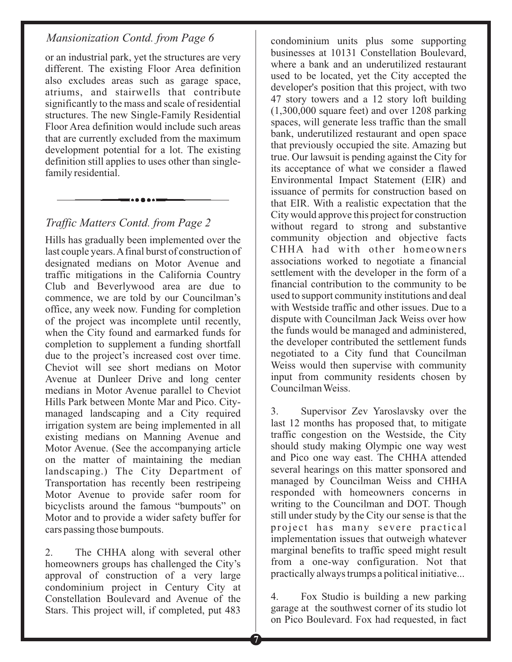#### *Mansionization Contd. from Page 6*

or an industrial park, yet the structures are very different. The existing Floor Area definition also excludes areas such as garage space, atriums, and stairwells that contribute significantly to the mass and scale of residential structures. The new Single-Family Residential Floor Area definition would include such areas that are currently excluded from the maximum development potential for a lot. The existing definition still applies to uses other than singlefamily residential.

### *Traffic Matters Contd. from Page 2*

Hills has gradually been implemented over the last couple years.Afinal burst of construction of designated medians on Motor Avenue and traffic mitigations in the California Country Club and Beverlywood area are due to commence, we are told by our Councilman's office, any week now. Funding for completion of the project was incomplete until recently, when the City found and earmarked funds for completion to supplement a funding shortfall due to the project's increased cost over time. Cheviot will see short medians on Motor Avenue at Dunleer Drive and long center medians in Motor Avenue parallel to Cheviot Hills Park between Monte Mar and Pico. Citymanaged landscaping and a City required irrigation system are being implemented in all existing medians on Manning Avenue and Motor Avenue. (See the accompanying article on the matter of maintaining the median landscaping.) The City Department of Transportation has recently been restripeing Motor Avenue to provide safer room for bicyclists around the famous "bumpouts" on Motor and to provide a wider safety buffer for cars passing those bumpouts.

2. The CHHA along with several other homeowners groups has challenged the City's approval of construction of a very large condominium project in Century City at Constellation Boulevard and Avenue of the Stars. This project will, if completed, put 483

condominium units plus some supporting businesses at 10131 Constellation Boulevard, where a bank and an underutilized restaurant used to be located, yet the City accepted the developer's position that this project, with two 47 story towers and a 12 story loft building (1,300,000 square feet) and over 1208 parking spaces, will generate less traffic than the small bank, underutilized restaurant and open space that previously occupied the site. Amazing but true. Our lawsuit is pending against the City for its acceptance of what we consider a flawed Environmental Impact Statement (EIR) and issuance of permits for construction based on that EIR. With a realistic expectation that the City would approve this project for construction without regard to strong and substantive community objection and objective facts CHHA had with other homeowners associations worked to negotiate a financial settlement with the developer in the form of a financial contribution to the community to be used to support community institutions and deal with Westside traffic and other issues. Due to a dispute with Councilman Jack Weiss over how the funds would be managed and administered, the developer contributed the settlement funds negotiated to a City fund that Councilman Weiss would then supervise with community input from community residents chosen by Councilman Weiss.

3. Supervisor Zev Yaroslavsky over the last 12 months has proposed that, to mitigate traffic congestion on the Westside, the City should study making Olympic one way west and Pico one way east. The CHHA attended several hearings on this matter sponsored and managed by Councilman Weiss and CHHA responded with homeowners concerns in writing to the Councilman and DOT. Though still under study by the City our sense is that the project has many severe practical implementation issues that outweigh whatever marginal benefits to traffic speed might result from a one-way configuration. Not that practically always trumps a political initiative...

4. Fox Studio is building a new parking garage at the southwest corner of its studio lot on Pico Boulevard. Fox had requested, in fact